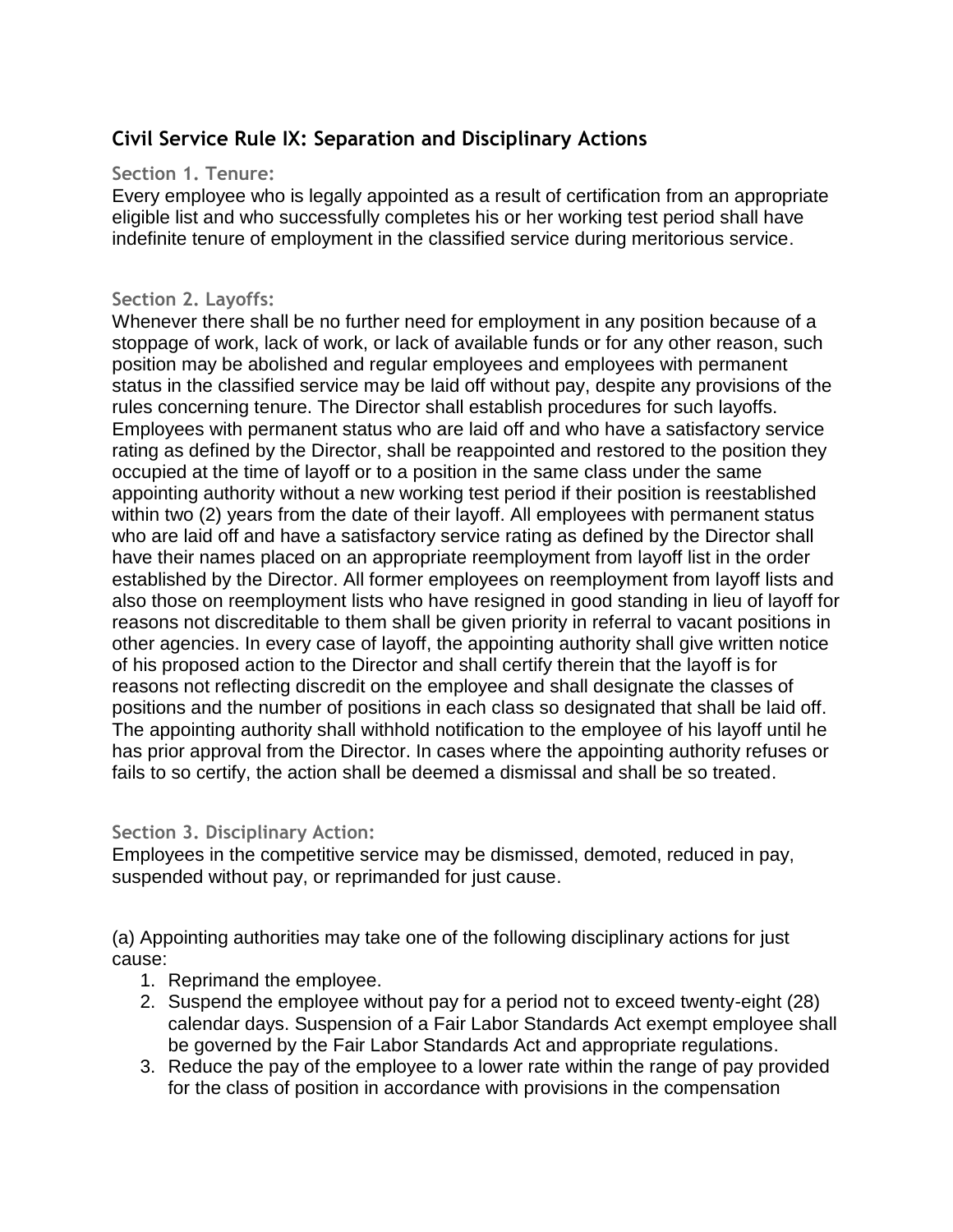# **Civil Service Rule IX: Separation and Disciplinary Actions**

## **Section 1. Tenure:**

Every employee who is legally appointed as a result of certification from an appropriate eligible list and who successfully completes his or her working test period shall have indefinite tenure of employment in the classified service during meritorious service.

## **Section 2. Layoffs:**

Whenever there shall be no further need for employment in any position because of a stoppage of work, lack of work, or lack of available funds or for any other reason, such position may be abolished and regular employees and employees with permanent status in the classified service may be laid off without pay, despite any provisions of the rules concerning tenure. The Director shall establish procedures for such layoffs. Employees with permanent status who are laid off and who have a satisfactory service rating as defined by the Director, shall be reappointed and restored to the position they occupied at the time of layoff or to a position in the same class under the same appointing authority without a new working test period if their position is reestablished within two (2) years from the date of their layoff. All employees with permanent status who are laid off and have a satisfactory service rating as defined by the Director shall have their names placed on an appropriate reemployment from layoff list in the order established by the Director. All former employees on reemployment from layoff lists and also those on reemployment lists who have resigned in good standing in lieu of layoff for reasons not discreditable to them shall be given priority in referral to vacant positions in other agencies. In every case of layoff, the appointing authority shall give written notice of his proposed action to the Director and shall certify therein that the layoff is for reasons not reflecting discredit on the employee and shall designate the classes of positions and the number of positions in each class so designated that shall be laid off. The appointing authority shall withhold notification to the employee of his layoff until he has prior approval from the Director. In cases where the appointing authority refuses or fails to so certify, the action shall be deemed a dismissal and shall be so treated.

#### **Section 3. Disciplinary Action:**

Employees in the competitive service may be dismissed, demoted, reduced in pay, suspended without pay, or reprimanded for just cause.

(a) Appointing authorities may take one of the following disciplinary actions for just cause:

- 1. Reprimand the employee.
- 2. Suspend the employee without pay for a period not to exceed twenty-eight (28) calendar days. Suspension of a Fair Labor Standards Act exempt employee shall be governed by the Fair Labor Standards Act and appropriate regulations.
- 3. Reduce the pay of the employee to a lower rate within the range of pay provided for the class of position in accordance with provisions in the compensation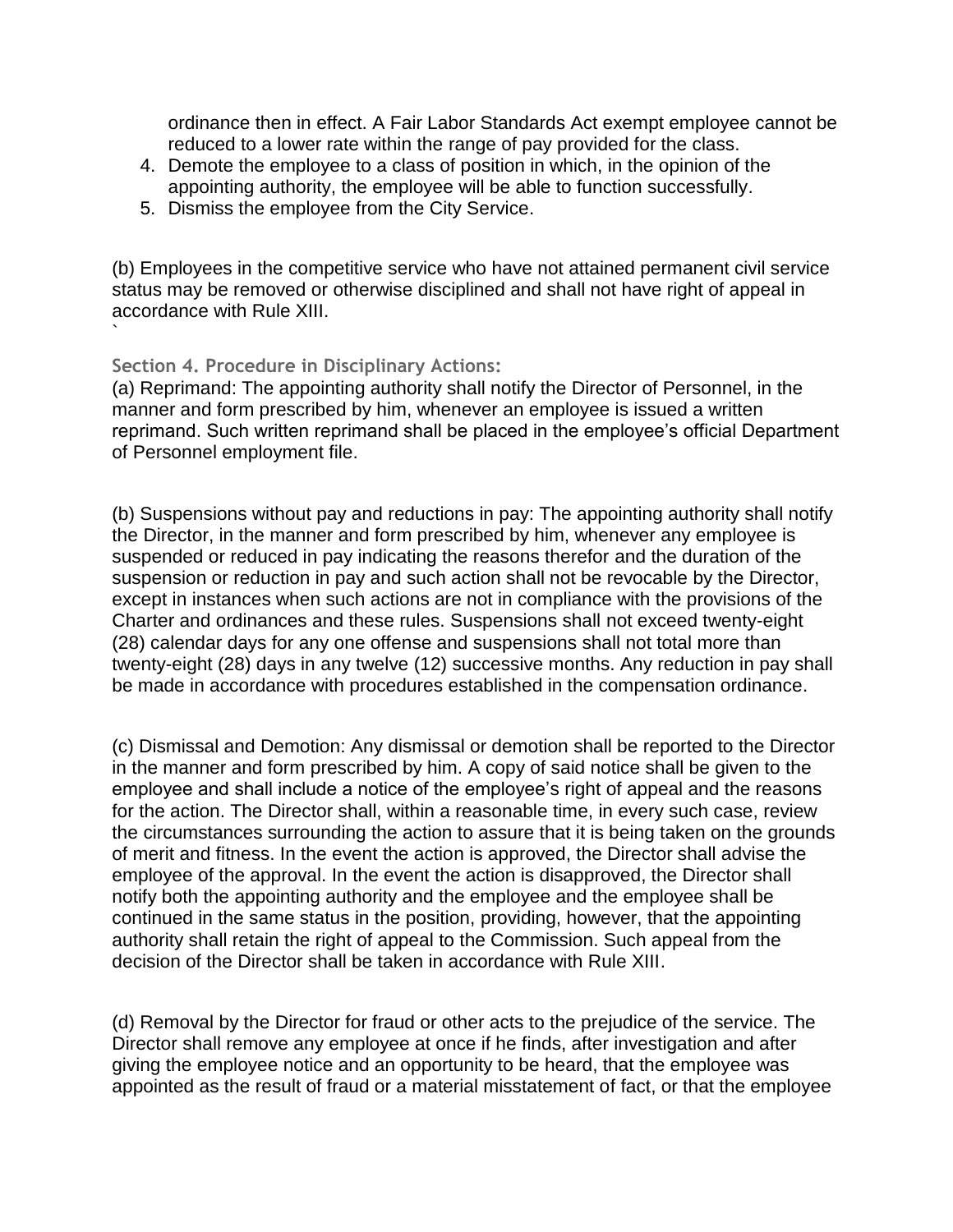ordinance then in effect. A Fair Labor Standards Act exempt employee cannot be reduced to a lower rate within the range of pay provided for the class.

- 4. Demote the employee to a class of position in which, in the opinion of the appointing authority, the employee will be able to function successfully.
- 5. Dismiss the employee from the City Service.

(b) Employees in the competitive service who have not attained permanent civil service status may be removed or otherwise disciplined and shall not have right of appeal in accordance with Rule XIII.

#### **Section 4. Procedure in Disciplinary Actions:**

`

(a) Reprimand: The appointing authority shall notify the Director of Personnel, in the manner and form prescribed by him, whenever an employee is issued a written reprimand. Such written reprimand shall be placed in the employee's official Department of Personnel employment file.

(b) Suspensions without pay and reductions in pay: The appointing authority shall notify the Director, in the manner and form prescribed by him, whenever any employee is suspended or reduced in pay indicating the reasons therefor and the duration of the suspension or reduction in pay and such action shall not be revocable by the Director, except in instances when such actions are not in compliance with the provisions of the Charter and ordinances and these rules. Suspensions shall not exceed twenty-eight (28) calendar days for any one offense and suspensions shall not total more than twenty-eight (28) days in any twelve (12) successive months. Any reduction in pay shall be made in accordance with procedures established in the compensation ordinance.

(c) Dismissal and Demotion: Any dismissal or demotion shall be reported to the Director in the manner and form prescribed by him. A copy of said notice shall be given to the employee and shall include a notice of the employee's right of appeal and the reasons for the action. The Director shall, within a reasonable time, in every such case, review the circumstances surrounding the action to assure that it is being taken on the grounds of merit and fitness. In the event the action is approved, the Director shall advise the employee of the approval. In the event the action is disapproved, the Director shall notify both the appointing authority and the employee and the employee shall be continued in the same status in the position, providing, however, that the appointing authority shall retain the right of appeal to the Commission. Such appeal from the decision of the Director shall be taken in accordance with Rule XIII.

(d) Removal by the Director for fraud or other acts to the prejudice of the service. The Director shall remove any employee at once if he finds, after investigation and after giving the employee notice and an opportunity to be heard, that the employee was appointed as the result of fraud or a material misstatement of fact, or that the employee